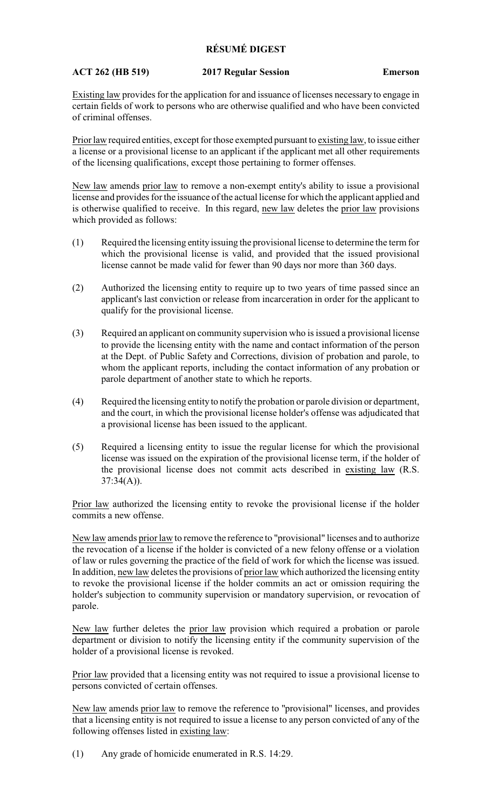## **RÉSUMÉ DIGEST**

## **ACT 262 (HB 519) 2017 Regular Session Emerson**

Existing law provides for the application for and issuance of licenses necessary to engage in certain fields of work to persons who are otherwise qualified and who have been convicted of criminal offenses.

Prior law required entities, except for those exempted pursuant to existing law, to issue either a license or a provisional license to an applicant if the applicant met all other requirements of the licensing qualifications, except those pertaining to former offenses.

New law amends prior law to remove a non-exempt entity's ability to issue a provisional license and provides for the issuance of the actual license for which the applicant applied and is otherwise qualified to receive. In this regard, new law deletes the prior law provisions which provided as follows:

- (1) Required the licensing entity issuing the provisional license to determine the term for which the provisional license is valid, and provided that the issued provisional license cannot be made valid for fewer than 90 days nor more than 360 days.
- (2) Authorized the licensing entity to require up to two years of time passed since an applicant's last conviction or release from incarceration in order for the applicant to qualify for the provisional license.
- (3) Required an applicant on community supervision who is issued a provisional license to provide the licensing entity with the name and contact information of the person at the Dept. of Public Safety and Corrections, division of probation and parole, to whom the applicant reports, including the contact information of any probation or parole department of another state to which he reports.
- (4) Required the licensing entity to notify the probation or parole division or department, and the court, in which the provisional license holder's offense was adjudicated that a provisional license has been issued to the applicant.
- (5) Required a licensing entity to issue the regular license for which the provisional license was issued on the expiration of the provisional license term, if the holder of the provisional license does not commit acts described in existing law (R.S.  $37:34(A)$ ).

Prior law authorized the licensing entity to revoke the provisional license if the holder commits a new offense.

New law amends prior law to remove the reference to "provisional" licenses and to authorize the revocation of a license if the holder is convicted of a new felony offense or a violation of law or rules governing the practice of the field of work for which the license was issued. In addition, new law deletes the provisions of prior law which authorized the licensing entity to revoke the provisional license if the holder commits an act or omission requiring the holder's subjection to community supervision or mandatory supervision, or revocation of parole.

New law further deletes the prior law provision which required a probation or parole department or division to notify the licensing entity if the community supervision of the holder of a provisional license is revoked.

Prior law provided that a licensing entity was not required to issue a provisional license to persons convicted of certain offenses.

New law amends prior law to remove the reference to "provisional" licenses, and provides that a licensing entity is not required to issue a license to any person convicted of any of the following offenses listed in existing law:

(1) Any grade of homicide enumerated in R.S. 14:29.